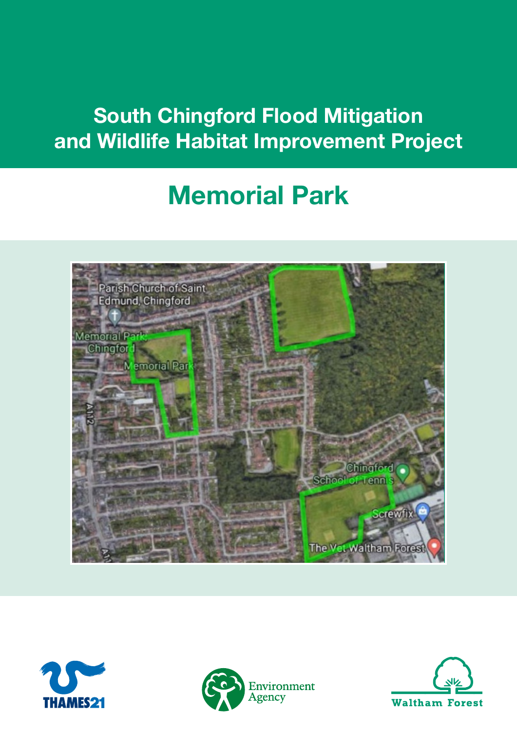## South Chingford Flood Mitigation and Wildlife Habitat Improvement Project

# Memorial Park